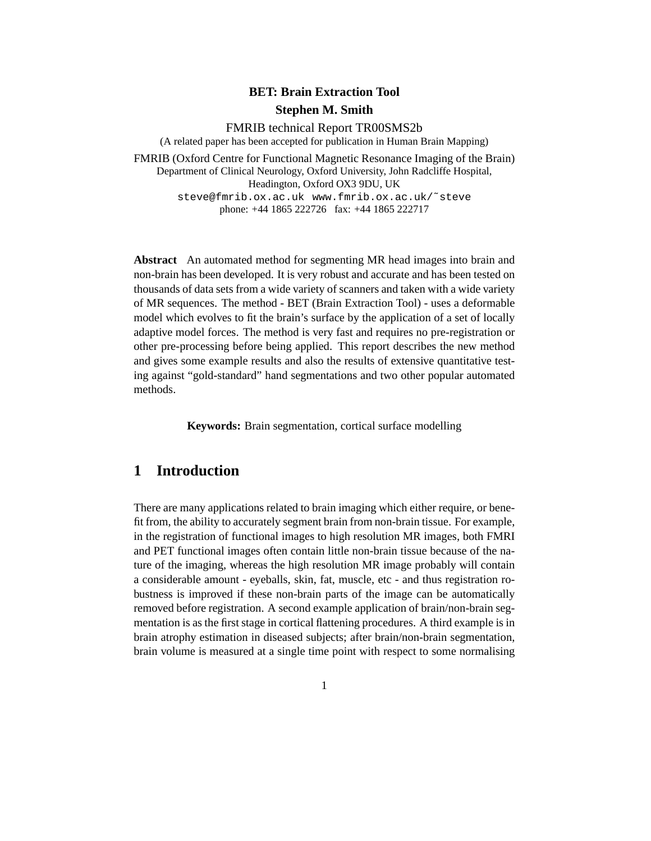# **BET: Brain Extraction Tool Stephen M. Smith**

FMRIB technical Report TR00SMS2b

(A related paper has been accepted for publication in Human Brain Mapping)

FMRIB (Oxford Centre for Functional Magnetic Resonance Imaging of the Brain) Department of Clinical Neurology, Oxford University, John Radcliffe Hospital, Headington, Oxford OX3 9DU, UK steve@fmrib.ox.ac.uk www.fmrib.ox.ac.uk/˜steve

phone: +44 1865 222726 fax: +44 1865 222717

**Abstract** An automated method for segmenting MR head images into brain and non-brain has been developed. It is very robust and accurate and has been tested on thousands of data sets from a wide variety of scanners and taken with a wide variety of MR sequences. The method - BET (Brain Extraction Tool) - uses a deformable model which evolves to fit the brain's surface by the application of a set of locally adaptive model forces. The method is very fast and requires no pre-registration or other pre-processing before being applied. This report describes the new method and gives some example results and also the results of extensive quantitative testing against "gold-standard" hand segmentations and two other popular automated methods.

**Keywords:** Brain segmentation, cortical surface modelling

# **1 Introduction**

There are many applications related to brain imaging which either require, or benefit from, the ability to accurately segment brain from non-brain tissue. For example, in the registration of functional images to high resolution MR images, both FMRI and PET functional images often contain little non-brain tissue because of the nature of the imaging, whereas the high resolution MR image probably will contain a considerable amount - eyeballs, skin, fat, muscle, etc - and thus registration robustness is improved if these non-brain parts of the image can be automatically removed before registration. A second example application of brain/non-brain segmentation is as the first stage in cortical flattening procedures. A third example is in brain atrophy estimation in diseased subjects; after brain/non-brain segmentation, brain volume is measured at a single time point with respect to some normalising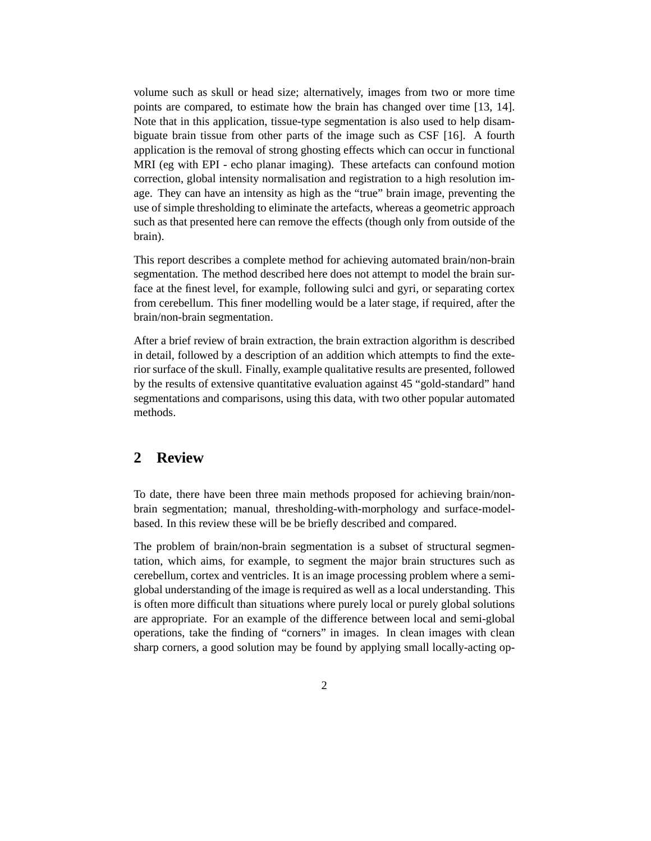volume such as skull or head size; alternatively, images from two or more time points are compared, to estimate how the brain has changed over time [13, 14]. Note that in this application, tissue-type segmentation is also used to help disambiguate brain tissue from other parts of the image such as CSF [16]. A fourth application is the removal of strong ghosting effects which can occur in functional MRI (eg with EPI - echo planar imaging). These artefacts can confound motion correction, global intensity normalisation and registration to a high resolution image. They can have an intensity as high as the "true" brain image, preventing the use of simple thresholding to eliminate the artefacts, whereas a geometric approach such as that presented here can remove the effects (though only from outside of the brain).

This report describes a complete method for achieving automated brain/non-brain segmentation. The method described here does not attempt to model the brain surface at the finest level, for example, following sulci and gyri, or separating cortex from cerebellum. This finer modelling would be a later stage, if required, after the brain/non-brain segmentation.

After a brief review of brain extraction, the brain extraction algorithm is described in detail, followed by a description of an addition which attempts to find the exterior surface of the skull. Finally, example qualitative results are presented, followed by the results of extensive quantitative evaluation against 45 "gold-standard" hand segmentations and comparisons, using this data, with two other popular automated methods.

## **2 Review**

To date, there have been three main methods proposed for achieving brain/nonbrain segmentation; manual, thresholding-with-morphology and surface-modelbased. In this review these will be be briefly described and compared.

The problem of brain/non-brain segmentation is a subset of structural segmentation, which aims, for example, to segment the major brain structures such as cerebellum, cortex and ventricles. It is an image processing problem where a semiglobal understanding of the image is required as well as a local understanding. This is often more difficult than situations where purely local or purely global solutions are appropriate. For an example of the difference between local and semi-global operations, take the finding of "corners" in images. In clean images with clean sharp corners, a good solution may be found by applying small locally-acting op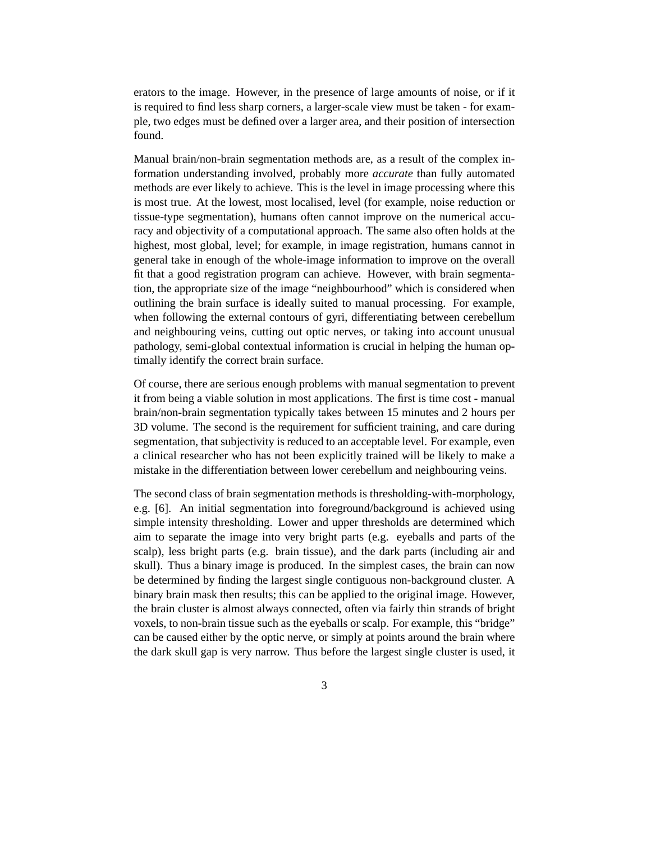erators to the image. However, in the presence of large amounts of noise, or if it is required to find less sharp corners, a larger-scale view must be taken - for example, two edges must be defined over a larger area, and their position of intersection found.

Manual brain/non-brain segmentation methods are, as a result of the complex information understanding involved, probably more *accurate* than fully automated methods are ever likely to achieve. This is the level in image processing where this is most true. At the lowest, most localised, level (for example, noise reduction or tissue-type segmentation), humans often cannot improve on the numerical accuracy and objectivity of a computational approach. The same also often holds at the highest, most global, level; for example, in image registration, humans cannot in general take in enough of the whole-image information to improve on the overall fit that a good registration program can achieve. However, with brain segmentation, the appropriate size of the image "neighbourhood" which is considered when outlining the brain surface is ideally suited to manual processing. For example, when following the external contours of gyri, differentiating between cerebellum and neighbouring veins, cutting out optic nerves, or taking into account unusual pathology, semi-global contextual information is crucial in helping the human optimally identify the correct brain surface.

Of course, there are serious enough problems with manual segmentation to prevent it from being a viable solution in most applications. The first is time cost - manual brain/non-brain segmentation typically takes between 15 minutes and 2 hours per 3D volume. The second is the requirement for sufficient training, and care during segmentation, that subjectivity is reduced to an acceptable level. For example, even a clinical researcher who has not been explicitly trained will be likely to make a mistake in the differentiation between lower cerebellum and neighbouring veins.

The second class of brain segmentation methods is thresholding-with-morphology, e.g. [6]. An initial segmentation into foreground/background is achieved using simple intensity thresholding. Lower and upper thresholds are determined which aim to separate the image into very bright parts (e.g. eyeballs and parts of the scalp), less bright parts (e.g. brain tissue), and the dark parts (including air and skull). Thus a binary image is produced. In the simplest cases, the brain can now be determined by finding the largest single contiguous non-background cluster. A binary brain mask then results; this can be applied to the original image. However, the brain cluster is almost always connected, often via fairly thin strands of bright voxels, to non-brain tissue such as the eyeballs or scalp. For example, this "bridge" can be caused either by the optic nerve, or simply at points around the brain where the dark skull gap is very narrow. Thus before the largest single cluster is used, it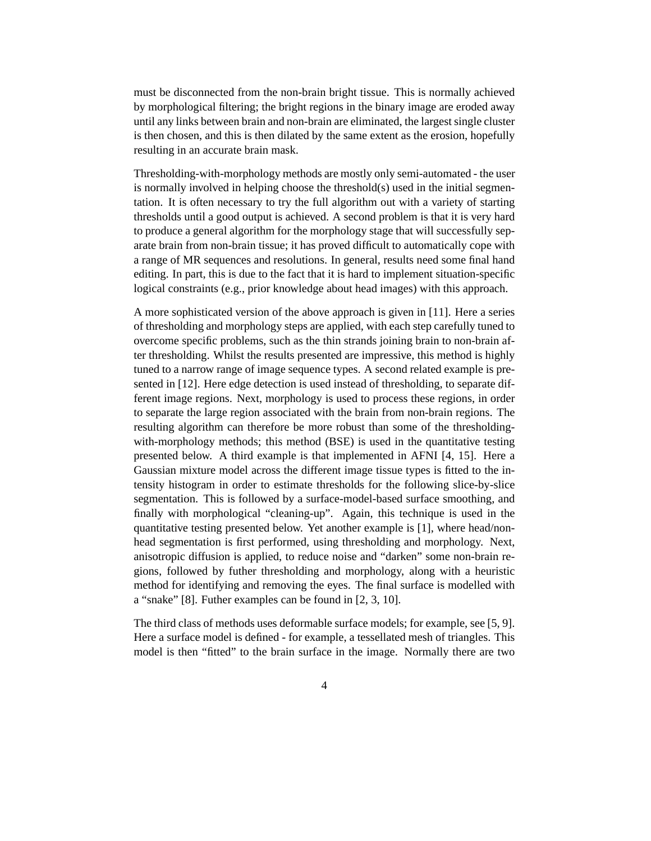must be disconnected from the non-brain bright tissue. This is normally achieved by morphological filtering; the bright regions in the binary image are eroded away until any links between brain and non-brain are eliminated, the largest single cluster is then chosen, and this is then dilated by the same extent as the erosion, hopefully resulting in an accurate brain mask.

Thresholding-with-morphology methods are mostly only semi-automated - the user is normally involved in helping choose the threshold(s) used in the initial segmentation. It is often necessary to try the full algorithm out with a variety of starting thresholds until a good output is achieved. A second problem is that it is very hard to produce a general algorithm for the morphology stage that will successfully separate brain from non-brain tissue; it has proved difficult to automatically cope with a range of MR sequences and resolutions. In general, results need some final hand editing. In part, this is due to the fact that it is hard to implement situation-specific logical constraints (e.g., prior knowledge about head images) with this approach.

A more sophisticated version of the above approach is given in [11]. Here a series of thresholding and morphology steps are applied, with each step carefully tuned to overcome specific problems, such as the thin strands joining brain to non-brain after thresholding. Whilst the results presented are impressive, this method is highly tuned to a narrow range of image sequence types. A second related example is presented in [12]. Here edge detection is used instead of thresholding, to separate different image regions. Next, morphology is used to process these regions, in order to separate the large region associated with the brain from non-brain regions. The resulting algorithm can therefore be more robust than some of the thresholdingwith-morphology methods; this method (BSE) is used in the quantitative testing presented below. A third example is that implemented in AFNI [4, 15]. Here a Gaussian mixture model across the different image tissue types is fitted to the intensity histogram in order to estimate thresholds for the following slice-by-slice segmentation. This is followed by a surface-model-based surface smoothing, and finally with morphological "cleaning-up". Again, this technique is used in the quantitative testing presented below. Yet another example is [1], where head/nonhead segmentation is first performed, using thresholding and morphology. Next, anisotropic diffusion is applied, to reduce noise and "darken" some non-brain regions, followed by futher thresholding and morphology, along with a heuristic method for identifying and removing the eyes. The final surface is modelled with a "snake" [8]. Futher examples can be found in [2, 3, 10].

The third class of methods uses deformable surface models; for example, see [5, 9]. Here a surface model is defined - for example, a tessellated mesh of triangles. This model is then "fitted" to the brain surface in the image. Normally there are two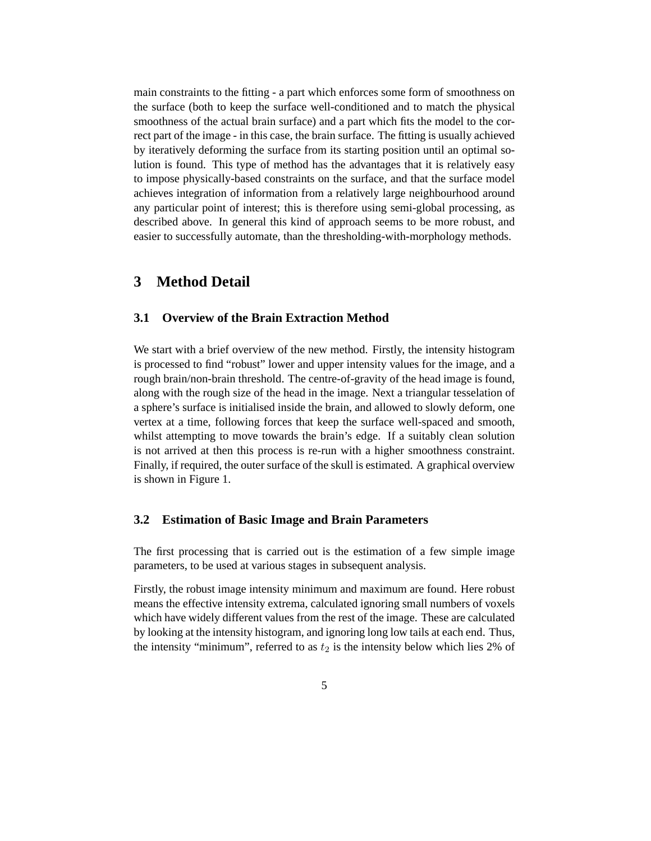main constraints to the fitting - a part which enforces some form of smoothness on the surface (both to keep the surface well-conditioned and to match the physical smoothness of the actual brain surface) and a part which fits the model to the correct part of the image - in this case, the brain surface. The fitting is usually achieved by iteratively deforming the surface from its starting position until an optimal solution is found. This type of method has the advantages that it is relatively easy to impose physically-based constraints on the surface, and that the surface model achieves integration of information from a relatively large neighbourhood around any particular point of interest; this is therefore using semi-global processing, as described above. In general this kind of approach seems to be more robust, and easier to successfully automate, than the thresholding-with-morphology methods.

## **3 Method Detail**

### **3.1 Overview of the Brain Extraction Method**

We start with a brief overview of the new method. Firstly, the intensity histogram is processed to find "robust" lower and upper intensity values for the image, and a rough brain/non-brain threshold. The centre-of-gravity of the head image is found, along with the rough size of the head in the image. Next a triangular tesselation of a sphere's surface is initialised inside the brain, and allowed to slowly deform, one vertex at a time, following forces that keep the surface well-spaced and smooth, whilst attempting to move towards the brain's edge. If a suitably clean solution is not arrived at then this process is re-run with a higher smoothness constraint. Finally, if required, the outer surface of the skull is estimated. A graphical overview is shown in Figure 1.

#### **3.2 Estimation of Basic Image and Brain Parameters**

The first processing that is carried out is the estimation of a few simple image parameters, to be used at various stages in subsequent analysis.

Firstly, the robust image intensity minimum and maximum are found. Here robust means the effective intensity extrema, calculated ignoring small numbers of voxels which have widely different values from the rest of the image. These are calculated by looking at the intensity histogram, and ignoring long low tails at each end. Thus, the intensity "minimum", referred to as  $t_2$  is the intensity below which lies 2% of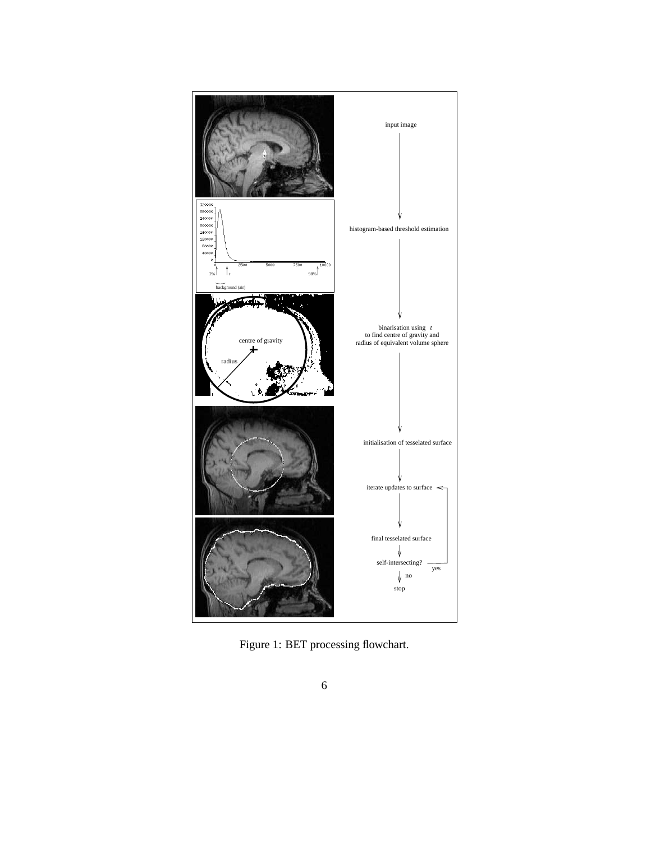

Figure 1: BET processing flowchart.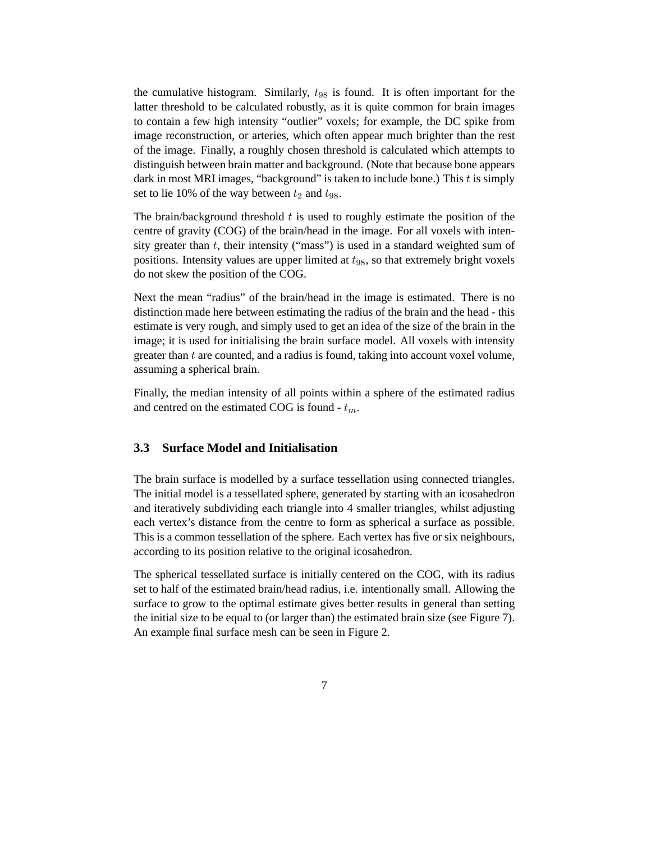the cumulative histogram. Similarly,  $t_{98}$  is found. It is often important for the latter threshold to be calculated robustly, as it is quite common for brain images to contain a few high intensity "outlier" voxels; for example, the DC spike from image reconstruction, or arteries, which often appear much brighter than the rest of the image. Finally, a roughly chosen threshold is calculated which attempts to distinguish between brain matter and background. (Note that because bone appears dark in most MRI images, "background" is taken to include bone.) This  $t$  is simply set to lie 10% of the way between  $t_2$  and  $t_{98}$ .

The brain/background threshold  $t$  is used to roughly estimate the position of the centre of gravity (COG) of the brain/head in the image. For all voxels with intensity greater than  $t$ , their intensity ("mass") is used in a standard weighted sum of positions. Intensity values are upper limited at  $t_{98}$ , so that extremely bright voxels do not skew the position of the COG.

Next the mean "radius" of the brain/head in the image is estimated. There is no distinction made here between estimating the radius of the brain and the head - this estimate is very rough, and simply used to get an idea of the size of the brain in the image; it is used for initialising the brain surface model. All voxels with intensity greater than t are counted, and a radius is found, taking into account voxel volume, assuming a spherical brain.

Finally, the median intensity of all points within a sphere of the estimated radius and centred on the estimated COG is found -  $t_m$ .

### **3.3 Surface Model and Initialisation**

The brain surface is modelled by a surface tessellation using connected triangles. The initial model is a tessellated sphere, generated by starting with an icosahedron and iteratively subdividing each triangle into 4 smaller triangles, whilst adjusting each vertex's distance from the centre to form as spherical a surface as possible. This is a common tessellation of the sphere. Each vertex has five or six neighbours, according to its position relative to the original icosahedron.

The spherical tessellated surface is initially centered on the COG, with its radius set to half of the estimated brain/head radius, i.e. intentionally small. Allowing the surface to grow to the optimal estimate gives better results in general than setting the initial size to be equal to (or larger than) the estimated brain size (see Figure 7). An example final surface mesh can be seen in Figure 2.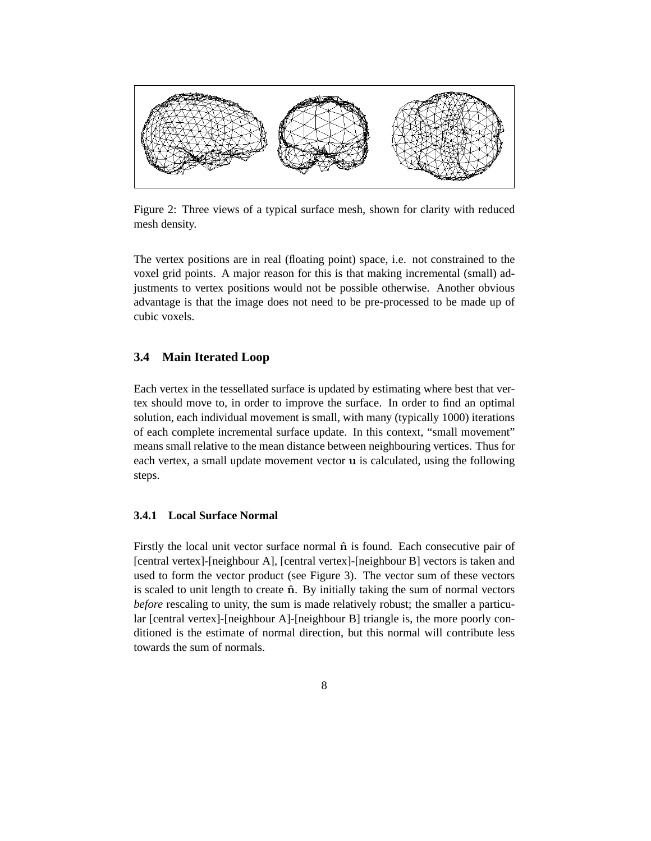

Figure 2: Three views of a typical surface mesh, shown for clarity with reduced mesh density.

The vertex positions are in real (floating point) space, i.e. not constrained to the voxel grid points. A major reason for this is that making incremental (small) adjustments to vertex positions would not be possible otherwise. Another obvious advantage is that the image does not need to be pre-processed to be made up of cubic voxels.

### **3.4 Main Iterated Loop**

Each vertex in the tessellated surface is updated by estimating where best that vertex should move to, in order to improve the surface. In order to find an optimal solution, each individual movement is small, with many (typically 1000) iterations of each complete incremental surface update. In this context, "small movement" means small relative to the mean distance between neighbouring vertices. Thus for each vertex, a small update movement vector u is calculated, using the following steps.

#### **3.4.1 Local Surface Normal**

Firstly the local unit vector surface normal  $\hat{\bf{n}}$  is found. Each consecutive pair of [central vertex]-[neighbour A], [central vertex]-[neighbour B] vectors is taken and used to form the vector product (see Figure 3). The vector sum of these vectors is scaled to unit length to create  $\hat{n}$ . By initially taking the sum of normal vectors *before* rescaling to unity, the sum is made relatively robust; the smaller a particular [central vertex]-[neighbour A]-[neighbour B] triangle is, the more poorly conditioned is the estimate of normal direction, but this normal will contribute less towards the sum of normals.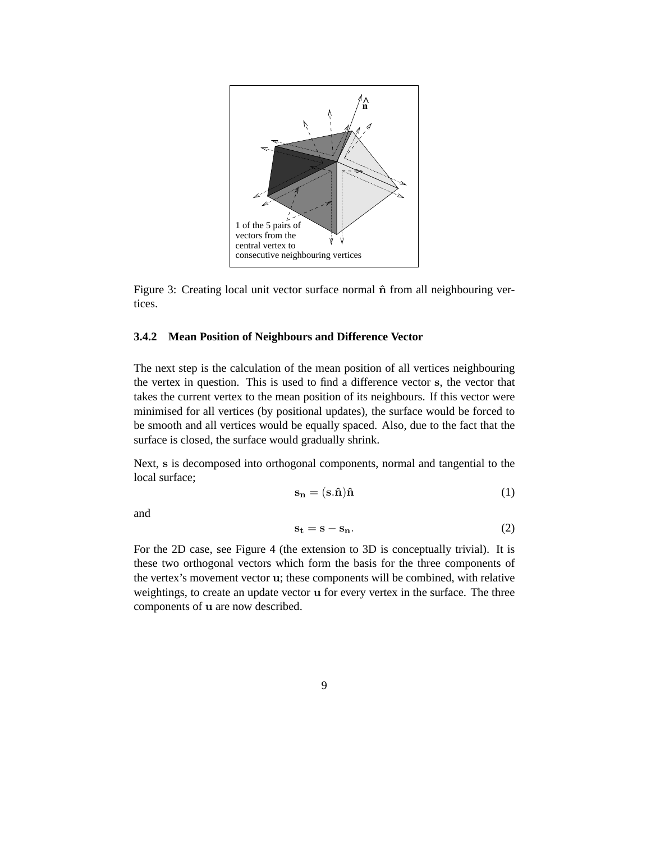

Figure 3: Creating local unit vector surface normal  $\hat{n}$  from all neighbouring vertices.

#### **3.4.2 Mean Position of Neighbours and Difference Vector**

The next step is the calculation of the mean position of all vertices neighbouring the vertex in question. This is used to find a difference vector s, the vector that takes the current vertex to the mean position of its neighbours. If this vector were minimised for all vertices (by positional updates), the surface would be forced to be smooth and all vertices would be equally spaced. Also, due to the fact that the surface is closed, the surface would gradually shrink.

Next, s is decomposed into orthogonal components, normal and tangential to the local surface;

$$
\mathbf{s}_{\mathbf{n}} = (\mathbf{s}.\hat{\mathbf{n}})\hat{\mathbf{n}}\tag{1}
$$

and

$$
s_t = s - s_n. \t\t(2)
$$

For the 2D case, see Figure 4 (the extension to 3D is conceptually trivial). It is these two orthogonal vectors which form the basis for the three components of the vertex's movement vector u; these components will be combined, with relative weightings, to create an update vector u for every vertex in the surface. The three components of u are now described.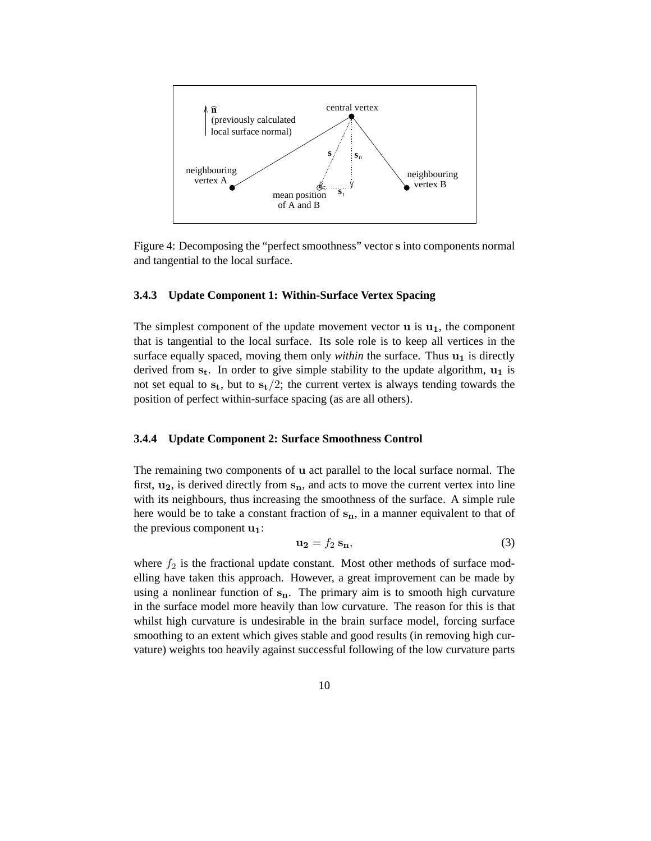

Figure 4: Decomposing the "perfect smoothness" vector s into components normal and tangential to the local surface.

#### **3.4.3 Update Component 1: Within-Surface Vertex Spacing**

The simplest component of the update movement vector  $\bf{u}$  is  $\bf{u}_1$ , the component that is tangential to the local surface. Its sole role is to keep all vertices in the surface equally spaced, moving them only *within* the surface. Thus  $\mathbf{u}_1$  is directly derived from  $s_t$ . In order to give simple stability to the update algorithm,  $u_1$  is not set equal to  $s_t$ , but to  $s_t/2$ ; the current vertex is always tending towards the position of perfect within-surface spacing (as are all others).

#### **3.4.4 Update Component 2: Surface Smoothness Control**

The remaining two components of u act parallel to the local surface normal. The first,  $u_2$ , is derived directly from  $s_n$ , and acts to move the current vertex into line with its neighbours, thus increasing the smoothness of the surface. A simple rule here would be to take a constant fraction of  $s_n$ , in a manner equivalent to that of the previous component  $\mathbf{u}_1$ :

$$
\mathbf{u_2} = f_2 \, \mathbf{s_n},\tag{3}
$$

where  $f_2$  is the fractional update constant. Most other methods of surface modelling have taken this approach. However, a great improvement can be made by using a nonlinear function of  $s_n$ . The primary aim is to smooth high curvature in the surface model more heavily than low curvature. The reason for this is that whilst high curvature is undesirable in the brain surface model, forcing surface smoothing to an extent which gives stable and good results (in removing high curvature) weights too heavily against successful following of the low curvature parts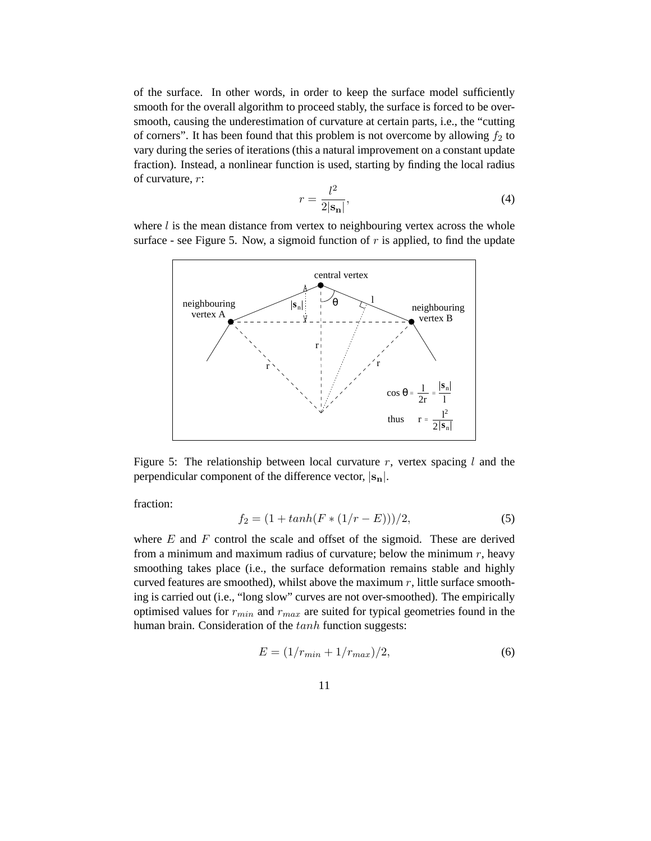of the surface. In other words, in order to keep the surface model sufficiently smooth for the overall algorithm to proceed stably, the surface is forced to be oversmooth, causing the underestimation of curvature at certain parts, i.e., the "cutting of corners". It has been found that this problem is not overcome by allowing  $f_2$  to vary during the series of iterations (this a natural improvement on a constant update fraction). Instead, a nonlinear function is used, starting by finding the local radius of curvature, r:

$$
r = \frac{l^2}{2|\mathbf{s_n}|},\tag{4}
$$

where  $l$  is the mean distance from vertex to neighbouring vertex across the whole surface - see Figure 5. Now, a sigmoid function of  $r$  is applied, to find the update



Figure 5: The relationship between local curvature r, vertex spacing  $l$  and the perpendicular component of the difference vector,  $|\mathbf{s}_n|$ .

fraction:

$$
f_2 = (1 + \tanh(F * (1/r - E)))/2,
$$
\n(5)

where  $E$  and  $F$  control the scale and offset of the sigmoid. These are derived from a minimum and maximum radius of curvature; below the minimum  $r$ , heavy smoothing takes place (i.e., the surface deformation remains stable and highly curved features are smoothed), whilst above the maximum  $r$ , little surface smoothing is carried out (i.e., "long slow" curves are not over-smoothed). The empirically optimised values for  $r_{min}$  and  $r_{max}$  are suited for typical geometries found in the human brain. Consideration of the tanh function suggests:

$$
E = (1/r_{min} + 1/r_{max})/2,
$$
\n(6)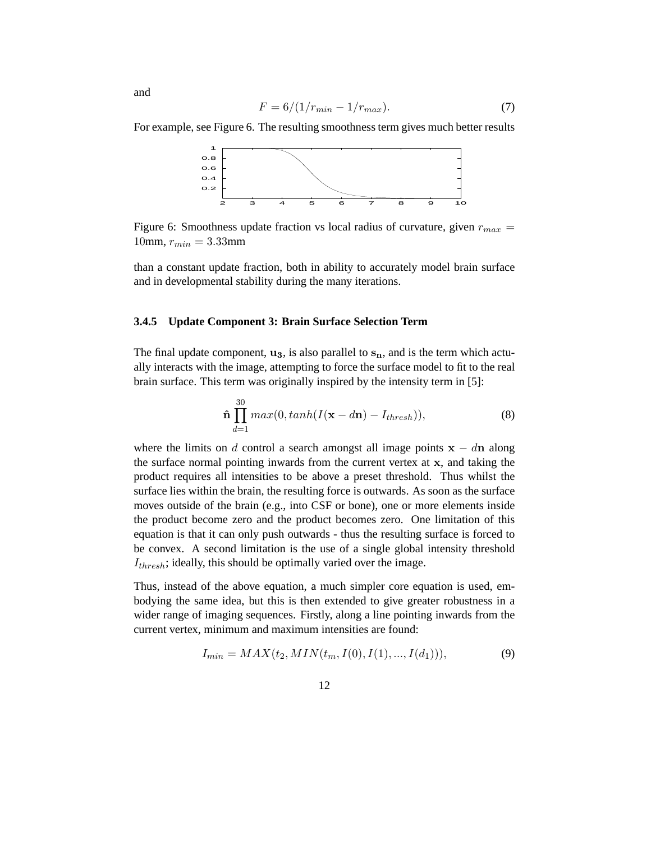$$
F = 6/(1/r_{min} - 1/r_{max}).
$$
\n(7)

For example, see Figure 6. The resulting smoothness term gives much better results



Figure 6: Smoothness update fraction vs local radius of curvature, given  $r_{max}$  = 10mm,  $r_{min} = 3.33$ mm

than a constant update fraction, both in ability to accurately model brain surface and in developmental stability during the many iterations.

#### **3.4.5 Update Component 3: Brain Surface Selection Term**

The final update component,  $\mathbf{u}_3$ , is also parallel to  $\mathbf{s}_n$ , and is the term which actually interacts with the image, attempting to force the surface model to fit to the real brain surface. This term was originally inspired by the intensity term in [5]:

$$
\hat{\mathbf{n}}\prod_{d=1}^{30} max(0, tanh(I(\mathbf{x}-d\mathbf{n})-I_{thresh})),
$$
\n(8)

where the limits on d control a search amongst all image points  $x - dn$  along the surface normal pointing inwards from the current vertex at  $x$ , and taking the product requires all intensities to be above a preset threshold. Thus whilst the surface lies within the brain, the resulting force is outwards. As soon as the surface moves outside of the brain (e.g., into CSF or bone), one or more elements inside the product become zero and the product becomes zero. One limitation of this equation is that it can only push outwards - thus the resulting surface is forced to be convex. A second limitation is the use of a single global intensity threshold  $I_{thresh}$ ; ideally, this should be optimally varied over the image.

Thus, instead of the above equation, a much simpler core equation is used, embodying the same idea, but this is then extended to give greater robustness in a wider range of imaging sequences. Firstly, along a line pointing inwards from the current vertex, minimum and maximum intensities are found:

$$
I_{min} = MAX(t_2, MIN(t_m, I(0), I(1), ..., I(d_1))),
$$
\n(9)

and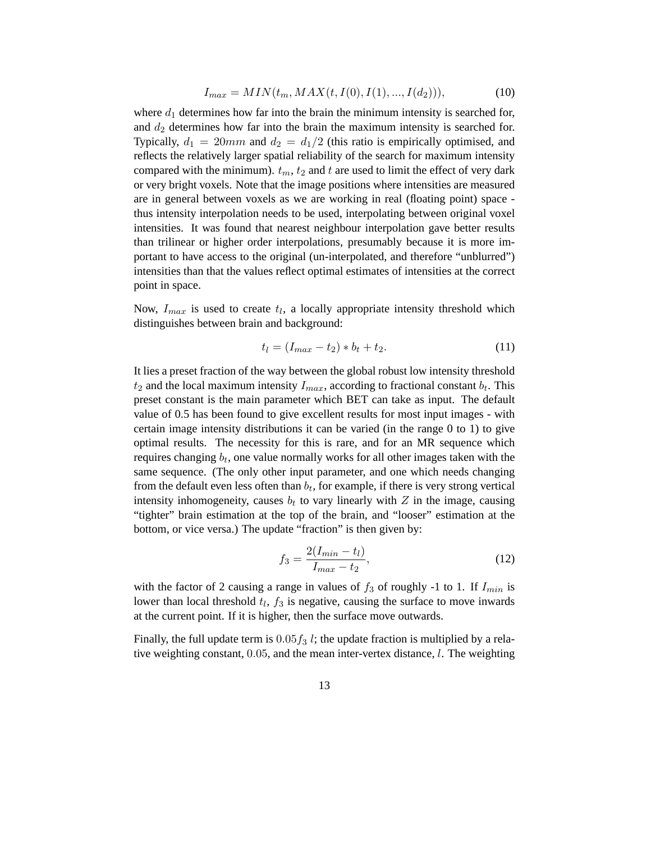$$
I_{max} = MIN(t_m, MAX(t, I(0), I(1), ..., I(d_2))),
$$
\n(10)

where  $d_1$  determines how far into the brain the minimum intensity is searched for, and  $d_2$  determines how far into the brain the maximum intensity is searched for. Typically,  $d_1 = 20mm$  and  $d_2 = d_1/2$  (this ratio is empirically optimised, and reflects the relatively larger spatial reliability of the search for maximum intensity compared with the minimum).  $t_m$ ,  $t_2$  and t are used to limit the effect of very dark or very bright voxels. Note that the image positions where intensities are measured are in general between voxels as we are working in real (floating point) space thus intensity interpolation needs to be used, interpolating between original voxel intensities. It was found that nearest neighbour interpolation gave better results than trilinear or higher order interpolations, presumably because it is more important to have access to the original (un-interpolated, and therefore "unblurred") intensities than that the values reflect optimal estimates of intensities at the correct point in space.

Now,  $I_{max}$  is used to create  $t_l$ , a locally appropriate intensity threshold which distinguishes between brain and background:

$$
t_l = (I_{max} - t_2) * b_t + t_2.
$$
 (11)

It lies a preset fraction of the way between the global robust low intensity threshold  $t_2$  and the local maximum intensity  $I_{max}$ , according to fractional constant  $b_t$ . This preset constant is the main parameter which BET can take as input. The default value of 0.5 has been found to give excellent results for most input images - with certain image intensity distributions it can be varied (in the range 0 to 1) to give optimal results. The necessity for this is rare, and for an MR sequence which requires changing  $b_t$ , one value normally works for all other images taken with the same sequence. (The only other input parameter, and one which needs changing from the default even less often than  $b_t$ , for example, if there is very strong vertical intensity inhomogeneity, causes  $b_t$  to vary linearly with Z in the image, causing "tighter" brain estimation at the top of the brain, and "looser" estimation at the bottom, or vice versa.) The update "fraction" is then given by:

$$
f_3 = \frac{2(I_{min} - t_l)}{I_{max} - t_2},\tag{12}
$$

with the factor of 2 causing a range in values of  $f_3$  of roughly -1 to 1. If  $I_{min}$  is lower than local threshold  $t_l$ ,  $f_3$  is negative, causing the surface to move inwards at the current point. If it is higher, then the surface move outwards.

Finally, the full update term is  $0.05 f_3$  l; the update fraction is multiplied by a relative weighting constant, 0.05, and the mean inter-vertex distance, l. The weighting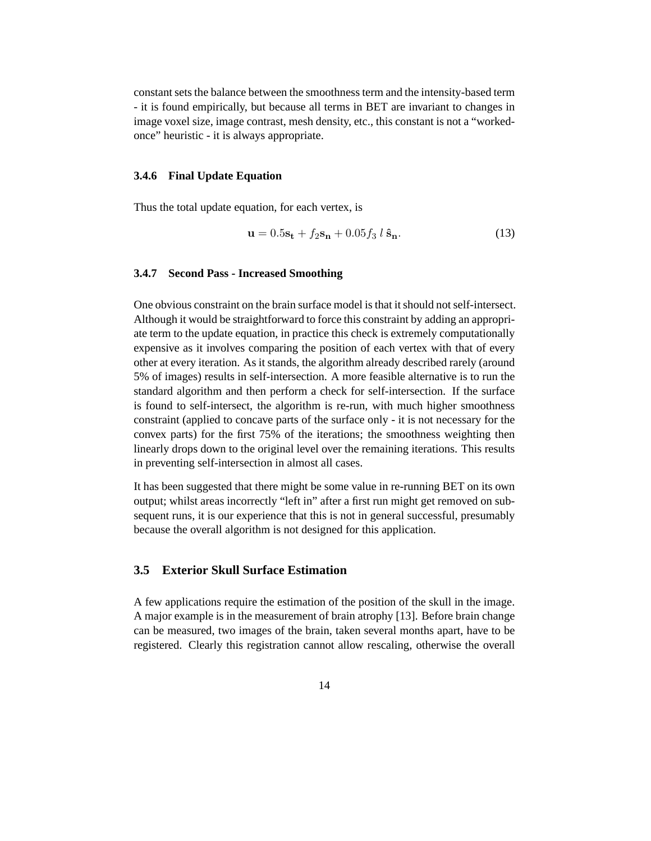constant sets the balance between the smoothness term and the intensity-based term - it is found empirically, but because all terms in BET are invariant to changes in image voxel size, image contrast, mesh density, etc., this constant is not a "workedonce" heuristic - it is always appropriate.

#### **3.4.6 Final Update Equation**

Thus the total update equation, for each vertex, is

$$
\mathbf{u} = 0.5\mathbf{s_t} + f_2\mathbf{s_n} + 0.05f_3 l \hat{\mathbf{s}_n}.
$$
 (13)

#### **3.4.7 Second Pass - Increased Smoothing**

One obvious constraint on the brain surface model is that it should not self-intersect. Although it would be straightforward to force this constraint by adding an appropriate term to the update equation, in practice this check is extremely computationally expensive as it involves comparing the position of each vertex with that of every other at every iteration. As it stands, the algorithm already described rarely (around 5% of images) results in self-intersection. A more feasible alternative is to run the standard algorithm and then perform a check for self-intersection. If the surface is found to self-intersect, the algorithm is re-run, with much higher smoothness constraint (applied to concave parts of the surface only - it is not necessary for the convex parts) for the first 75% of the iterations; the smoothness weighting then linearly drops down to the original level over the remaining iterations. This results in preventing self-intersection in almost all cases.

It has been suggested that there might be some value in re-running BET on its own output; whilst areas incorrectly "left in" after a first run might get removed on subsequent runs, it is our experience that this is not in general successful, presumably because the overall algorithm is not designed for this application.

#### **3.5 Exterior Skull Surface Estimation**

A few applications require the estimation of the position of the skull in the image. A major example is in the measurement of brain atrophy [13]. Before brain change can be measured, two images of the brain, taken several months apart, have to be registered. Clearly this registration cannot allow rescaling, otherwise the overall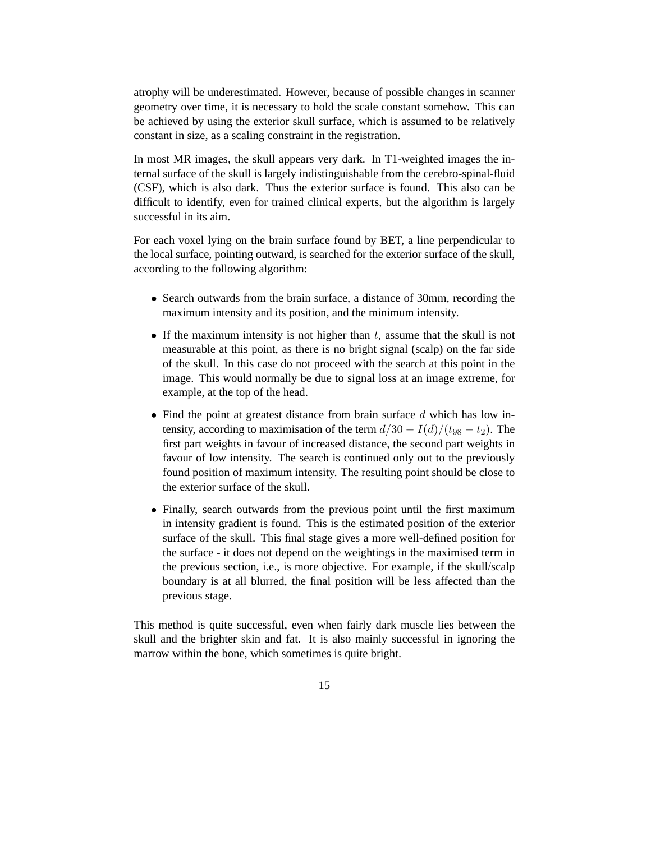atrophy will be underestimated. However, because of possible changes in scanner geometry over time, it is necessary to hold the scale constant somehow. This can be achieved by using the exterior skull surface, which is assumed to be relatively constant in size, as a scaling constraint in the registration.

In most MR images, the skull appears very dark. In T1-weighted images the internal surface of the skull is largely indistinguishable from the cerebro-spinal-fluid (CSF), which is also dark. Thus the exterior surface is found. This also can be difficult to identify, even for trained clinical experts, but the algorithm is largely successful in its aim.

For each voxel lying on the brain surface found by BET, a line perpendicular to the local surface, pointing outward, is searched for the exterior surface of the skull, according to the following algorithm:

- Search outwards from the brain surface, a distance of 30mm, recording the maximum intensity and its position, and the minimum intensity.
- If the maximum intensity is not higher than  $t$ , assume that the skull is not measurable at this point, as there is no bright signal (scalp) on the far side of the skull. In this case do not proceed with the search at this point in the image. This would normally be due to signal loss at an image extreme, for example, at the top of the head.
- Find the point at greatest distance from brain surface  $d$  which has low intensity, according to maximisation of the term  $d/30 - I(d)/(t_{98} - t_2)$ . The first part weights in favour of increased distance, the second part weights in favour of low intensity. The search is continued only out to the previously found position of maximum intensity. The resulting point should be close to the exterior surface of the skull.
- Finally, search outwards from the previous point until the first maximum in intensity gradient is found. This is the estimated position of the exterior surface of the skull. This final stage gives a more well-defined position for the surface - it does not depend on the weightings in the maximised term in the previous section, i.e., is more objective. For example, if the skull/scalp boundary is at all blurred, the final position will be less affected than the previous stage.

This method is quite successful, even when fairly dark muscle lies between the skull and the brighter skin and fat. It is also mainly successful in ignoring the marrow within the bone, which sometimes is quite bright.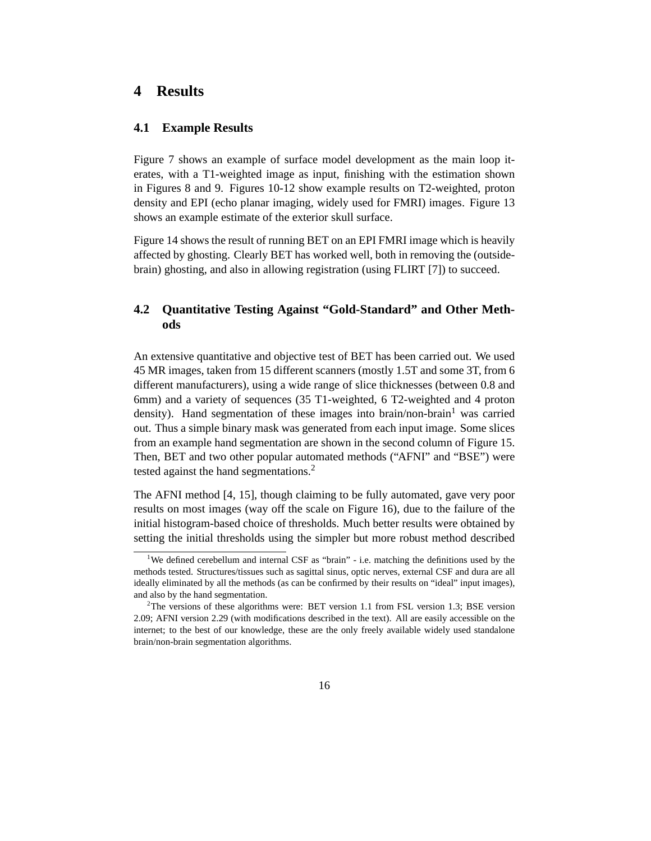### **4 Results**

#### **4.1 Example Results**

Figure 7 shows an example of surface model development as the main loop iterates, with a T1-weighted image as input, finishing with the estimation shown in Figures 8 and 9. Figures 10-12 show example results on T2-weighted, proton density and EPI (echo planar imaging, widely used for FMRI) images. Figure 13 shows an example estimate of the exterior skull surface.

Figure 14 shows the result of running BET on an EPI FMRI image which is heavily affected by ghosting. Clearly BET has worked well, both in removing the (outsidebrain) ghosting, and also in allowing registration (using FLIRT [7]) to succeed.

## **4.2 Quantitative Testing Against "Gold-Standard" and Other Methods**

An extensive quantitative and objective test of BET has been carried out. We used 45 MR images, taken from 15 different scanners (mostly 1.5T and some 3T, from 6 different manufacturers), using a wide range of slice thicknesses (between 0.8 and 6mm) and a variety of sequences (35 T1-weighted, 6 T2-weighted and 4 proton density). Hand segmentation of these images into brain/non-brain<sup>1</sup> was carried out. Thus a simple binary mask was generated from each input image. Some slices from an example hand segmentation are shown in the second column of Figure 15. Then, BET and two other popular automated methods ("AFNI" and "BSE") were tested against the hand segmentations.<sup>2</sup>

The AFNI method [4, 15], though claiming to be fully automated, gave very poor results on most images (way off the scale on Figure 16), due to the failure of the initial histogram-based choice of thresholds. Much better results were obtained by setting the initial thresholds using the simpler but more robust method described

<sup>&</sup>lt;sup>1</sup>We defined cerebellum and internal CSF as "brain" - i.e. matching the definitions used by the methods tested. Structures/tissues such as sagittal sinus, optic nerves, external CSF and dura are all ideally eliminated by all the methods (as can be confirmed by their results on "ideal" input images), and also by the hand segmentation.

<sup>&</sup>lt;sup>2</sup>The versions of these algorithms were: BET version 1.1 from FSL version 1.3; BSE version 2.09; AFNI version 2.29 (with modifications described in the text). All are easily accessible on the internet; to the best of our knowledge, these are the only freely available widely used standalone brain/non-brain segmentation algorithms.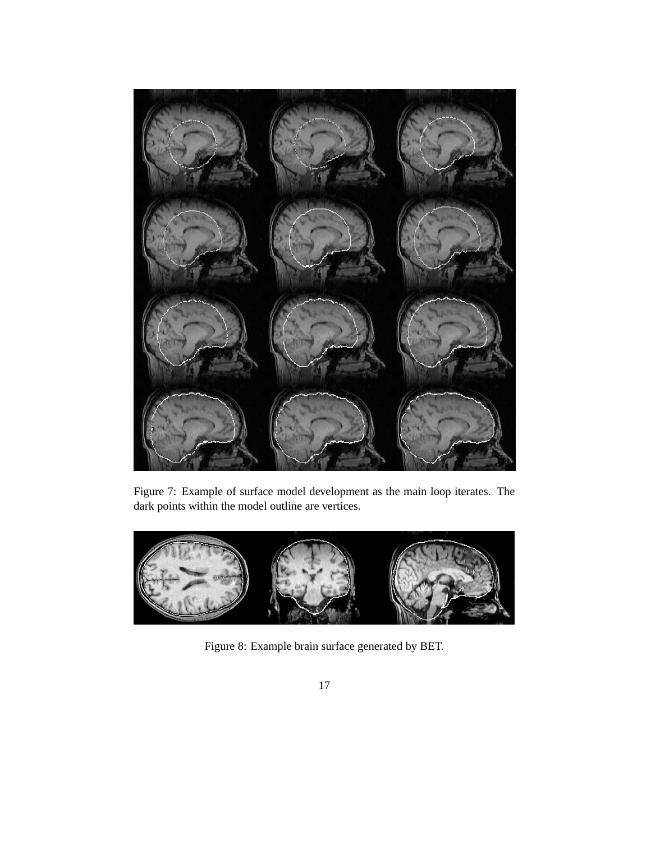

Figure 7: Example of surface model development as the main loop iterates. The dark points within the model outline are vertices.



Figure 8: Example brain surface generated by BET.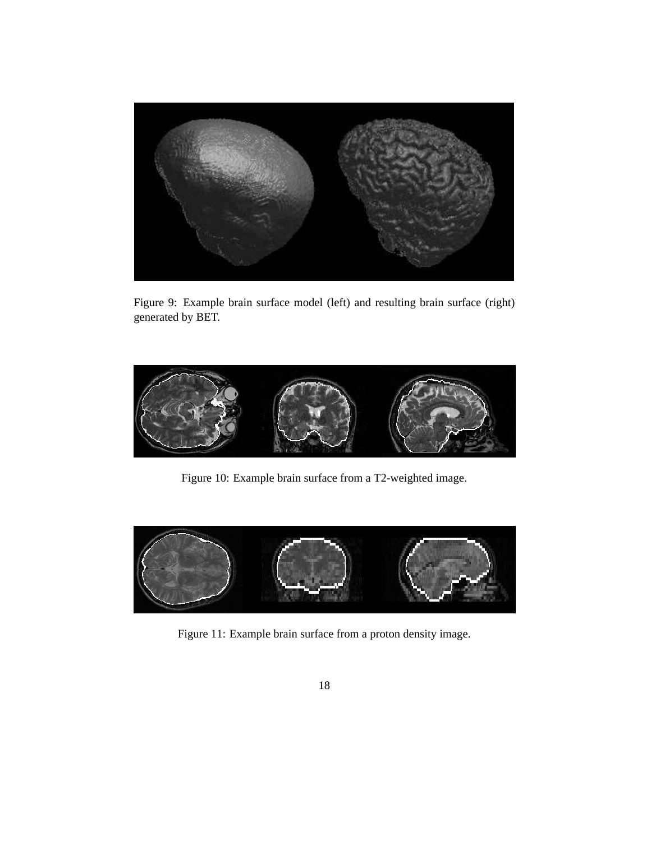

Figure 9: Example brain surface model (left) and resulting brain surface (right) generated by BET.



Figure 10: Example brain surface from a T2-weighted image.



Figure 11: Example brain surface from a proton density image.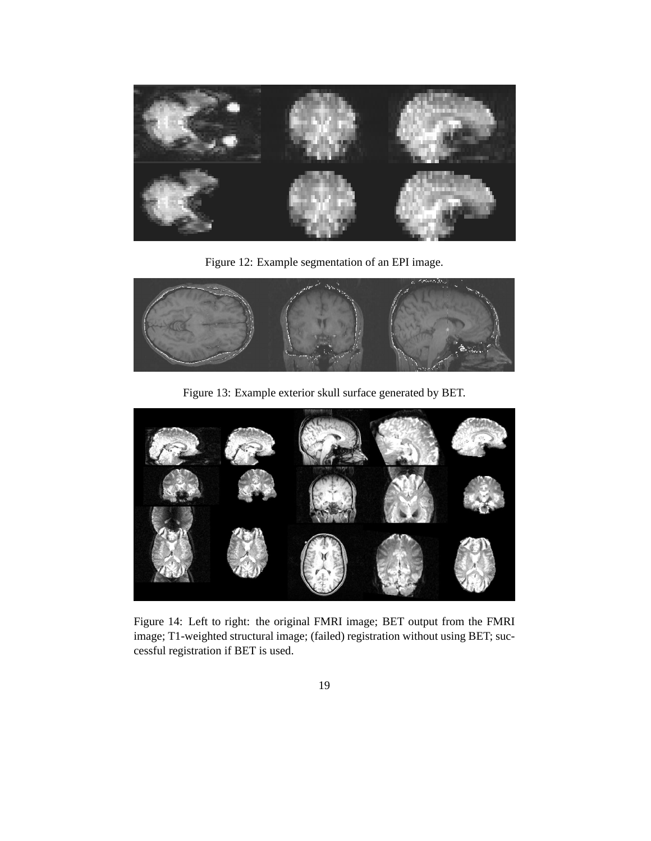

Figure 12: Example segmentation of an EPI image.



Figure 13: Example exterior skull surface generated by BET.



Figure 14: Left to right: the original FMRI image; BET output from the FMRI image; T1-weighted structural image; (failed) registration without using BET; successful registration if BET is used.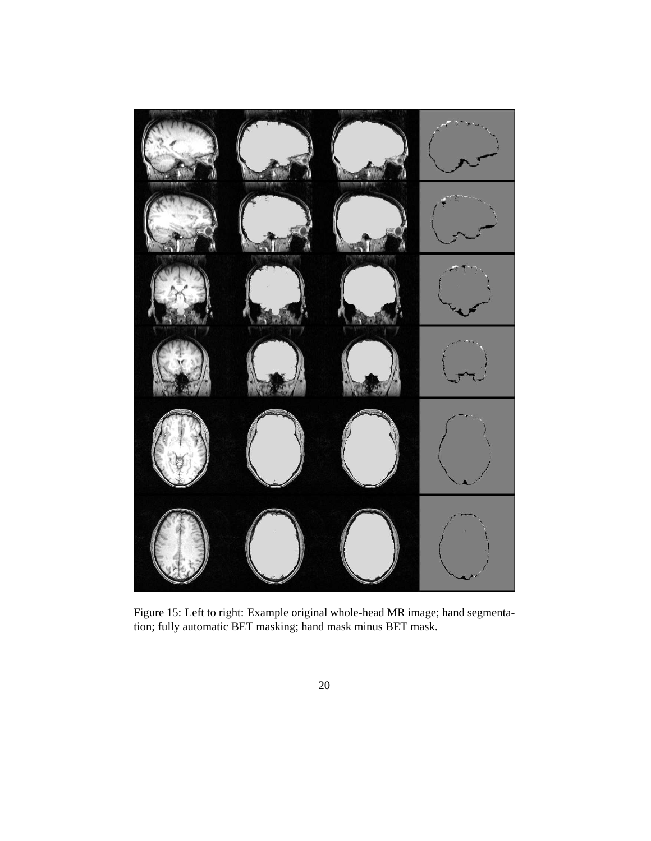

Figure 15: Left to right: Example original whole-head MR image; hand segmentation; fully automatic BET masking; hand mask minus BET mask.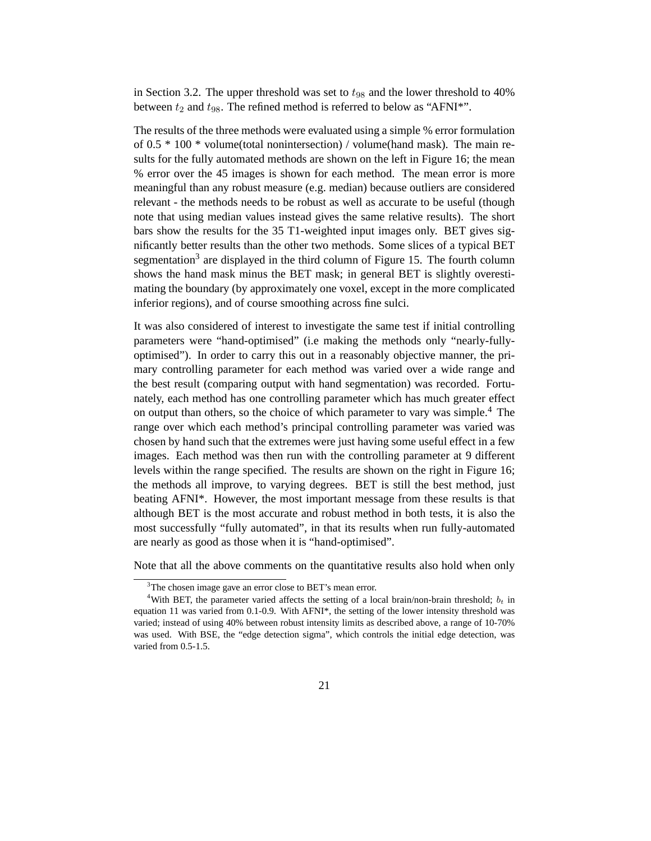in Section 3.2. The upper threshold was set to  $t_{98}$  and the lower threshold to 40% between  $t_2$  and  $t_{98}$ . The refined method is referred to below as "AFNI\*".

The results of the three methods were evaluated using a simple % error formulation of 0.5 \* 100 \* volume(total nonintersection) / volume(hand mask). The main results for the fully automated methods are shown on the left in Figure 16; the mean % error over the 45 images is shown for each method. The mean error is more meaningful than any robust measure (e.g. median) because outliers are considered relevant - the methods needs to be robust as well as accurate to be useful (though note that using median values instead gives the same relative results). The short bars show the results for the 35 T1-weighted input images only. BET gives significantly better results than the other two methods. Some slices of a typical BET segmentation<sup>3</sup> are displayed in the third column of Figure 15. The fourth column shows the hand mask minus the BET mask; in general BET is slightly overestimating the boundary (by approximately one voxel, except in the more complicated inferior regions), and of course smoothing across fine sulci.

It was also considered of interest to investigate the same test if initial controlling parameters were "hand-optimised" (i.e making the methods only "nearly-fullyoptimised"). In order to carry this out in a reasonably objective manner, the primary controlling parameter for each method was varied over a wide range and the best result (comparing output with hand segmentation) was recorded. Fortunately, each method has one controlling parameter which has much greater effect on output than others, so the choice of which parameter to vary was simple.<sup>4</sup> The range over which each method's principal controlling parameter was varied was chosen by hand such that the extremes were just having some useful effect in a few images. Each method was then run with the controlling parameter at 9 different levels within the range specified. The results are shown on the right in Figure 16; the methods all improve, to varying degrees. BET is still the best method, just beating AFNI\*. However, the most important message from these results is that although BET is the most accurate and robust method in both tests, it is also the most successfully "fully automated", in that its results when run fully-automated are nearly as good as those when it is "hand-optimised".

Note that all the above comments on the quantitative results also hold when only

<sup>&</sup>lt;sup>3</sup>The chosen image gave an error close to BET's mean error.

<sup>&</sup>lt;sup>4</sup>With BET, the parameter varied affects the setting of a local brain/non-brain threshold;  $b_t$  in equation 11 was varied from 0.1-0.9. With AFNI\*, the setting of the lower intensity threshold was varied; instead of using 40% between robust intensity limits as described above, a range of 10-70% was used. With BSE, the "edge detection sigma", which controls the initial edge detection, was varied from 0.5-1.5.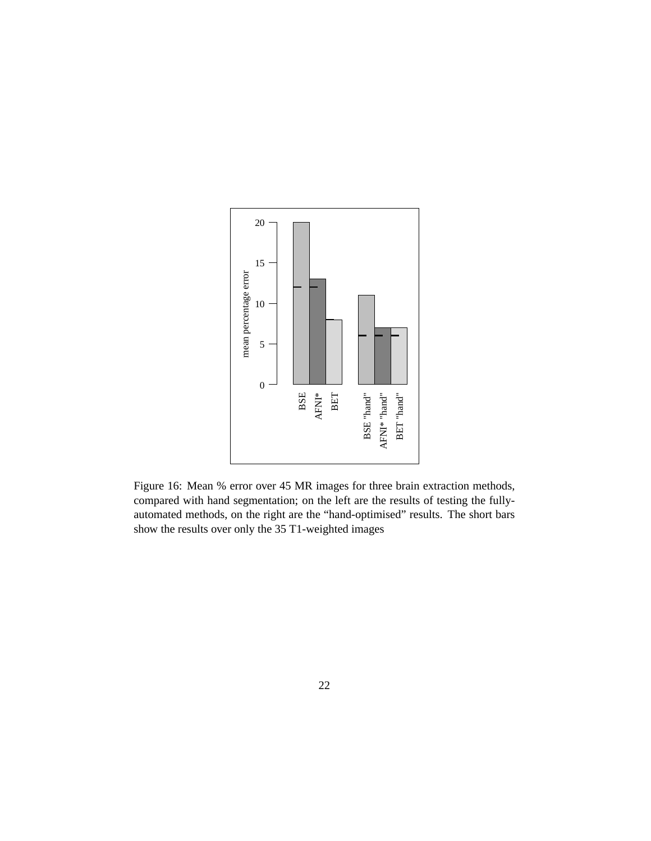

Figure 16: Mean % error over 45 MR images for three brain extraction methods, compared with hand segmentation; on the left are the results of testing the fullyautomated methods, on the right are the "hand-optimised" results. The short bars show the results over only the 35 T1-weighted images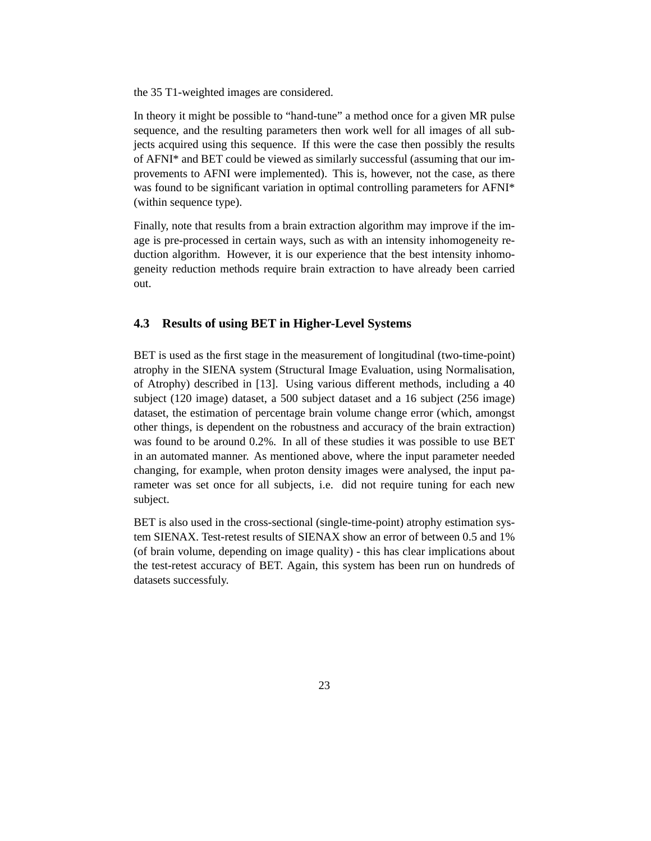the 35 T1-weighted images are considered.

In theory it might be possible to "hand-tune" a method once for a given MR pulse sequence, and the resulting parameters then work well for all images of all subjects acquired using this sequence. If this were the case then possibly the results of AFNI\* and BET could be viewed as similarly successful (assuming that our improvements to AFNI were implemented). This is, however, not the case, as there was found to be significant variation in optimal controlling parameters for AFNI\* (within sequence type).

Finally, note that results from a brain extraction algorithm may improve if the image is pre-processed in certain ways, such as with an intensity inhomogeneity reduction algorithm. However, it is our experience that the best intensity inhomogeneity reduction methods require brain extraction to have already been carried out.

### **4.3 Results of using BET in Higher-Level Systems**

BET is used as the first stage in the measurement of longitudinal (two-time-point) atrophy in the SIENA system (Structural Image Evaluation, using Normalisation, of Atrophy) described in [13]. Using various different methods, including a 40 subject (120 image) dataset, a 500 subject dataset and a 16 subject (256 image) dataset, the estimation of percentage brain volume change error (which, amongst other things, is dependent on the robustness and accuracy of the brain extraction) was found to be around 0.2%. In all of these studies it was possible to use BET in an automated manner. As mentioned above, where the input parameter needed changing, for example, when proton density images were analysed, the input parameter was set once for all subjects, i.e. did not require tuning for each new subject.

BET is also used in the cross-sectional (single-time-point) atrophy estimation system SIENAX. Test-retest results of SIENAX show an error of between 0.5 and 1% (of brain volume, depending on image quality) - this has clear implications about the test-retest accuracy of BET. Again, this system has been run on hundreds of datasets successfuly.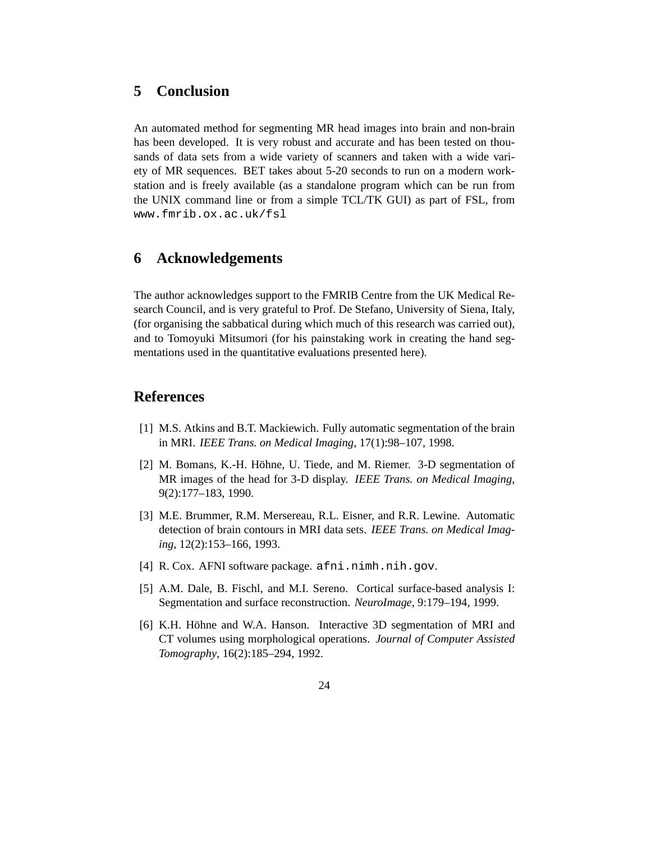## **5 Conclusion**

An automated method for segmenting MR head images into brain and non-brain has been developed. It is very robust and accurate and has been tested on thousands of data sets from a wide variety of scanners and taken with a wide variety of MR sequences. BET takes about 5-20 seconds to run on a modern workstation and is freely available (as a standalone program which can be run from the UNIX command line or from a simple TCL/TK GUI) as part of FSL, from www.fmrib.ox.ac.uk/fsl

## **6 Acknowledgements**

The author acknowledges support to the FMRIB Centre from the UK Medical Research Council, and is very grateful to Prof. De Stefano, University of Siena, Italy, (for organising the sabbatical during which much of this research was carried out), and to Tomoyuki Mitsumori (for his painstaking work in creating the hand segmentations used in the quantitative evaluations presented here).

## **References**

- [1] M.S. Atkins and B.T. Mackiewich. Fully automatic segmentation of the brain in MRI. *IEEE Trans. on Medical Imaging*, 17(1):98–107, 1998.
- [2] M. Bomans, K.-H. Höhne, U. Tiede, and M. Riemer.  $3-D$  segmentation of MR images of the head for 3-D display. *IEEE Trans. on Medical Imaging*, 9(2):177–183, 1990.
- [3] M.E. Brummer, R.M. Mersereau, R.L. Eisner, and R.R. Lewine. Automatic detection of brain contours in MRI data sets. *IEEE Trans. on Medical Imaging*, 12(2):153–166, 1993.
- [4] R. Cox. AFNI software package. afni.nimh.nih.gov.
- [5] A.M. Dale, B. Fischl, and M.I. Sereno. Cortical surface-based analysis I: Segmentation and surface reconstruction. *NeuroImage*, 9:179–194, 1999.
- [6] K.H. Höhne and W.A. Hanson. Interactive 3D segmentation of MRI and CT volumes using morphological operations. *Journal of Computer Assisted Tomography*, 16(2):185–294, 1992.